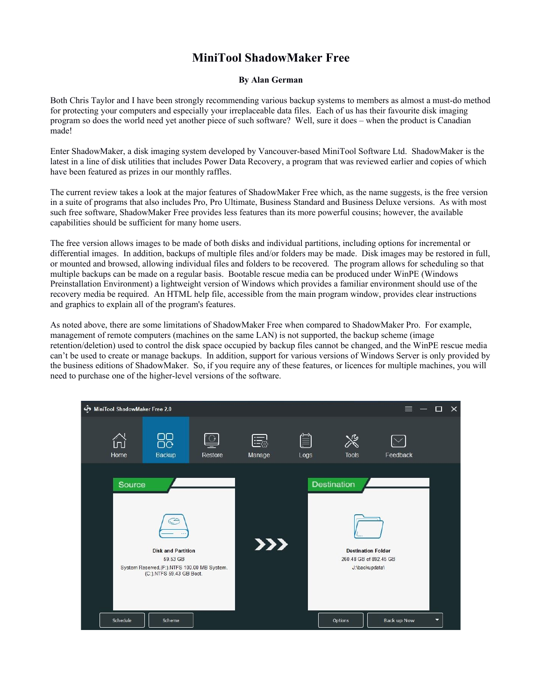## **MiniTool ShadowMaker Free**

## **By Alan German**

Both Chris Taylor and I have been strongly recommending various backup systems to members as almost a must-do method for protecting your computers and especially your irreplaceable data files. Each of us has their favourite disk imaging program so does the world need yet another piece of such software? Well, sure it does – when the product is Canadian made!

Enter ShadowMaker, a disk imaging system developed by Vancouver-based MiniTool Software Ltd. ShadowMaker is the latest in a line of disk utilities that includes Power Data Recovery, a program that was reviewed earlier and copies of which have been featured as prizes in our monthly raffles.

The current review takes a look at the major features of ShadowMaker Free which, as the name suggests, is the free version in a suite of programs that also includes Pro, Pro Ultimate, Business Standard and Business Deluxe versions. As with most such free software, ShadowMaker Free provides less features than its more powerful cousins; however, the available capabilities should be sufficient for many home users.

The free version allows images to be made of both disks and individual partitions, including options for incremental or differential images. In addition, backups of multiple files and/or folders may be made. Disk images may be restored in full, or mounted and browsed, allowing individual files and folders to be recovered. The program allows for scheduling so that multiple backups can be made on a regular basis. Bootable rescue media can be produced under WinPE (Windows Preinstallation Environment) a lightweight version of Windows which provides a familiar environment should use of the recovery media be required. An HTML help file, accessible from the main program window, provides clear instructions and graphics to explain all of the program's features.

As noted above, there are some limitations of ShadowMaker Free when compared to ShadowMaker Pro. For example, management of remote computers (machines on the same LAN) is not supported, the backup scheme (image retention/deletion) used to control the disk space occupied by backup files cannot be changed, and the WinPE rescue media can't be used to create or manage backups. In addition, support for various versions of Windows Server is only provided by the business editions of ShadowMaker. So, if you require any of these features, or licences for multiple machines, you will need to purchase one of the higher-level versions of the software.

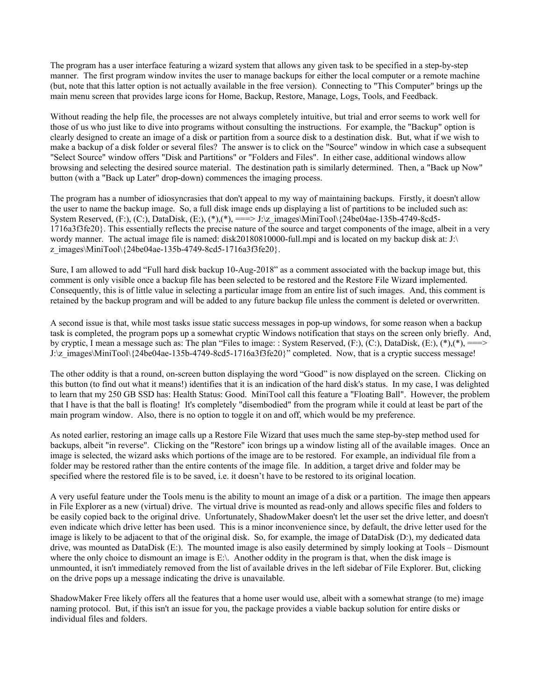The program has a user interface featuring a wizard system that allows any given task to be specified in a step-by-step manner. The first program window invites the user to manage backups for either the local computer or a remote machine (but, note that this latter option is not actually available in the free version). Connecting to "This Computer" brings up the main menu screen that provides large icons for Home, Backup, Restore, Manage, Logs, Tools, and Feedback.

Without reading the help file, the processes are not always completely intuitive, but trial and error seems to work well for those of us who just like to dive into programs without consulting the instructions. For example, the "Backup" option is clearly designed to create an image of a disk or partition from a source disk to a destination disk. But, what if we wish to make a backup of a disk folder or several files? The answer is to click on the "Source" window in which case a subsequent "Select Source" window offers "Disk and Partitions" or "Folders and Files". In either case, additional windows allow browsing and selecting the desired source material. The destination path is similarly determined. Then, a "Back up Now" button (with a "Back up Later" drop-down) commences the imaging process.

The program has a number of idiosyncrasies that don't appeal to my way of maintaining backups. Firstly, it doesn't allow the user to name the backup image. So, a full disk image ends up displaying a list of partitions to be included such as: System Reserved, (F:), (C:), DataDisk, (E:),  $(*)$ ,  $(*)$ ,  $==$ > J:\z\_images\MiniTool\{24be04ae-135b-4749-8cd5-1716a3f3fe20}. This essentially reflects the precise nature of the source and target components of the image, albeit in a very wordy manner. The actual image file is named: disk20180810000-full.mpi and is located on my backup disk at: J:\ z\_images\MiniTool\{24be04ae-135b-4749-8cd5-1716a3f3fe20}.

Sure, I am allowed to add "Full hard disk backup 10-Aug-2018" as a comment associated with the backup image but, this comment is only visible once a backup file has been selected to be restored and the Restore File Wizard implemented. Consequently, this is of little value in selecting a particular image from an entire list of such images. And, this comment is retained by the backup program and will be added to any future backup file unless the comment is deleted or overwritten.

A second issue is that, while most tasks issue static success messages in pop-up windows, for some reason when a backup task is completed, the program pops up a somewhat cryptic Windows notification that stays on the screen only briefly. And, by cryptic, I mean a message such as: The plan "Files to image: : System Reserved,  $(F:), (C:),$  DataDisk,  $(E:), (*), (*),$  ===> J:\z\_images\MiniTool\{24be04ae-135b-4749-8cd5-1716a3f3fe20}" completed. Now, that is a cryptic success message!

The other oddity is that a round, on-screen button displaying the word "Good" is now displayed on the screen. Clicking on this button (to find out what it means!) identifies that it is an indication of the hard disk's status. In my case, I was delighted to learn that my 250 GB SSD has: Health Status: Good. MiniTool call this feature a "Floating Ball". However, the problem that I have is that the ball is floating! It's completely "disembodied" from the program while it could at least be part of the main program window. Also, there is no option to toggle it on and off, which would be my preference.

As noted earlier, restoring an image calls up a Restore File Wizard that uses much the same step-by-step method used for backups, albeit "in reverse". Clicking on the "Restore" icon brings up a window listing all of the available images. Once an image is selected, the wizard asks which portions of the image are to be restored. For example, an individual file from a folder may be restored rather than the entire contents of the image file. In addition, a target drive and folder may be specified where the restored file is to be saved, i.e. it doesn't have to be restored to its original location.

A very useful feature under the Tools menu is the ability to mount an image of a disk or a partition. The image then appears in File Explorer as a new (virtual) drive. The virtual drive is mounted as read-only and allows specific files and folders to be easily copied back to the original drive. Unfortunately, ShadowMaker doesn't let the user set the drive letter, and doesn't even indicate which drive letter has been used. This is a minor inconvenience since, by default, the drive letter used for the image is likely to be adjacent to that of the original disk. So, for example, the image of DataDisk (D:), my dedicated data drive, was mounted as DataDisk (E:). The mounted image is also easily determined by simply looking at Tools – Dismount where the only choice to dismount an image is  $E:\$ . Another oddity in the program is that, when the disk image is unmounted, it isn't immediately removed from the list of available drives in the left sidebar of File Explorer. But, clicking on the drive pops up a message indicating the drive is unavailable.

ShadowMaker Free likely offers all the features that a home user would use, albeit with a somewhat strange (to me) image naming protocol. But, if this isn't an issue for you, the package provides a viable backup solution for entire disks or individual files and folders.